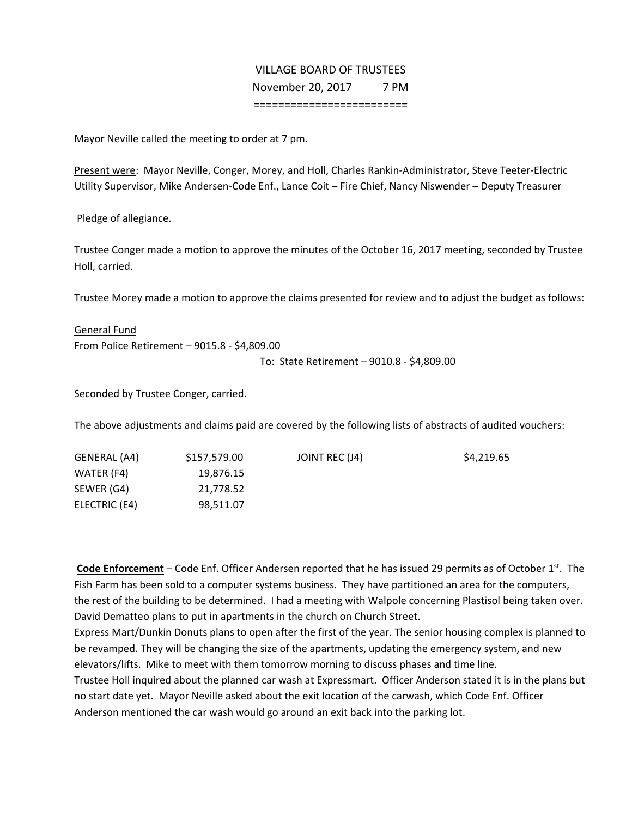## VILLAGE BOARD OF TRUSTEES November 20, 2017 7 PM =========================

Mayor Neville called the meeting to order at 7 pm.

Present were: Mayor Neville, Conger, Morey, and Holl, Charles Rankin‐Administrator, Steve Teeter‐Electric Utility Supervisor, Mike Andersen‐Code Enf., Lance Coit – Fire Chief, Nancy Niswender – Deputy Treasurer

Pledge of allegiance.

Trustee Conger made a motion to approve the minutes of the October 16, 2017 meeting, seconded by Trustee Holl, carried.

Trustee Morey made a motion to approve the claims presented for review and to adjust the budget as follows:

General Fund From Police Retirement – 9015.8 ‐ \$4,809.00

To: State Retirement – 9010.8 ‐ \$4,809.00

Seconded by Trustee Conger, carried.

The above adjustments and claims paid are covered by the following lists of abstracts of audited vouchers:

| GENERAL (A4)  | \$157,579.00 | JOINT REC (J4) | \$4,219.65 |
|---------------|--------------|----------------|------------|
| WATER (F4)    | 19,876.15    |                |            |
| SEWER (G4)    | 21,778.52    |                |            |
| ELECTRIC (E4) | 98,511.07    |                |            |

**Code Enforcement** – Code Enf. Officer Andersen reported that he has issued 29 permits as of October 1<sup>st</sup>. The Fish Farm has been sold to a computer systems business. They have partitioned an area for the computers, the rest of the building to be determined. I had a meeting with Walpole concerning Plastisol being taken over. David Dematteo plans to put in apartments in the church on Church Street.

Express Mart/Dunkin Donuts plans to open after the first of the year. The senior housing complex is planned to be revamped. They will be changing the size of the apartments, updating the emergency system, and new elevators/lifts. Mike to meet with them tomorrow morning to discuss phases and time line.

Trustee Holl inquired about the planned car wash at Expressmart. Officer Anderson stated it is in the plans but no start date yet. Mayor Neville asked about the exit location of the carwash, which Code Enf. Officer Anderson mentioned the car wash would go around an exit back into the parking lot.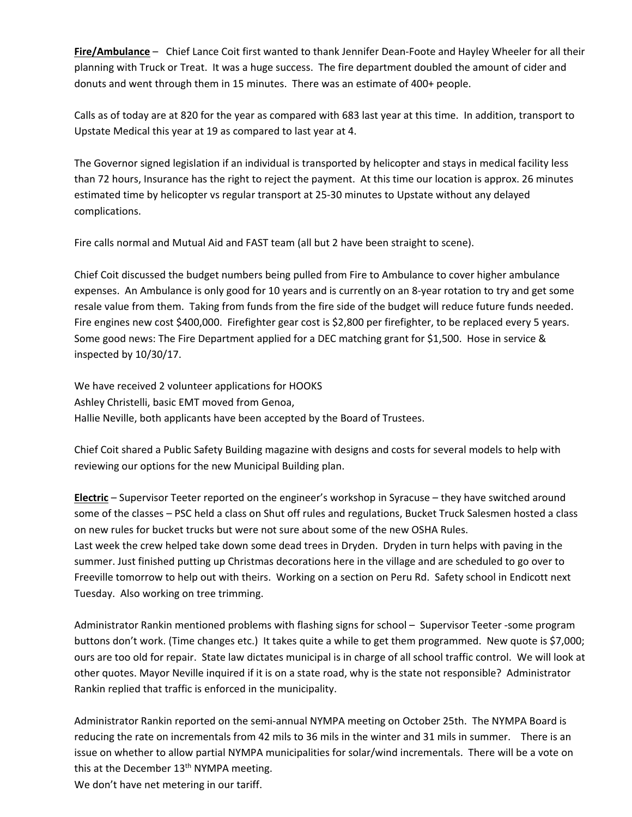**Fire/Ambulance** – Chief Lance Coit first wanted to thank Jennifer Dean‐Foote and Hayley Wheeler for all their planning with Truck or Treat. It was a huge success. The fire department doubled the amount of cider and donuts and went through them in 15 minutes. There was an estimate of 400+ people.

Calls as of today are at 820 for the year as compared with 683 last year at this time. In addition, transport to Upstate Medical this year at 19 as compared to last year at 4.

The Governor signed legislation if an individual is transported by helicopter and stays in medical facility less than 72 hours, Insurance has the right to reject the payment. At this time our location is approx. 26 minutes estimated time by helicopter vs regular transport at 25‐30 minutes to Upstate without any delayed complications.

Fire calls normal and Mutual Aid and FAST team (all but 2 have been straight to scene).

Chief Coit discussed the budget numbers being pulled from Fire to Ambulance to cover higher ambulance expenses. An Ambulance is only good for 10 years and is currently on an 8‐year rotation to try and get some resale value from them. Taking from funds from the fire side of the budget will reduce future funds needed. Fire engines new cost \$400,000. Firefighter gear cost is \$2,800 per firefighter, to be replaced every 5 years. Some good news: The Fire Department applied for a DEC matching grant for \$1,500. Hose in service & inspected by 10/30/17.

We have received 2 volunteer applications for HOOKS Ashley Christelli, basic EMT moved from Genoa, Hallie Neville, both applicants have been accepted by the Board of Trustees.

Chief Coit shared a Public Safety Building magazine with designs and costs for several models to help with reviewing our options for the new Municipal Building plan.

**Electric** – Supervisor Teeter reported on the engineer's workshop in Syracuse – they have switched around some of the classes – PSC held a class on Shut off rules and regulations, Bucket Truck Salesmen hosted a class on new rules for bucket trucks but were not sure about some of the new OSHA Rules. Last week the crew helped take down some dead trees in Dryden. Dryden in turn helps with paving in the summer. Just finished putting up Christmas decorations here in the village and are scheduled to go over to Freeville tomorrow to help out with theirs. Working on a section on Peru Rd. Safety school in Endicott next Tuesday. Also working on tree trimming.

Administrator Rankin mentioned problems with flashing signs for school – Supervisor Teeter -some program buttons don't work. (Time changes etc.) It takes quite a while to get them programmed. New quote is \$7,000; ours are too old for repair. State law dictates municipal is in charge of all school traffic control. We will look at other quotes. Mayor Neville inquired if it is on a state road, why is the state not responsible? Administrator Rankin replied that traffic is enforced in the municipality.

Administrator Rankin reported on the semi‐annual NYMPA meeting on October 25th. The NYMPA Board is reducing the rate on incrementals from 42 mils to 36 mils in the winter and 31 mils in summer. There is an issue on whether to allow partial NYMPA municipalities for solar/wind incrementals. There will be a vote on this at the December  $13<sup>th</sup>$  NYMPA meeting.

We don't have net metering in our tariff.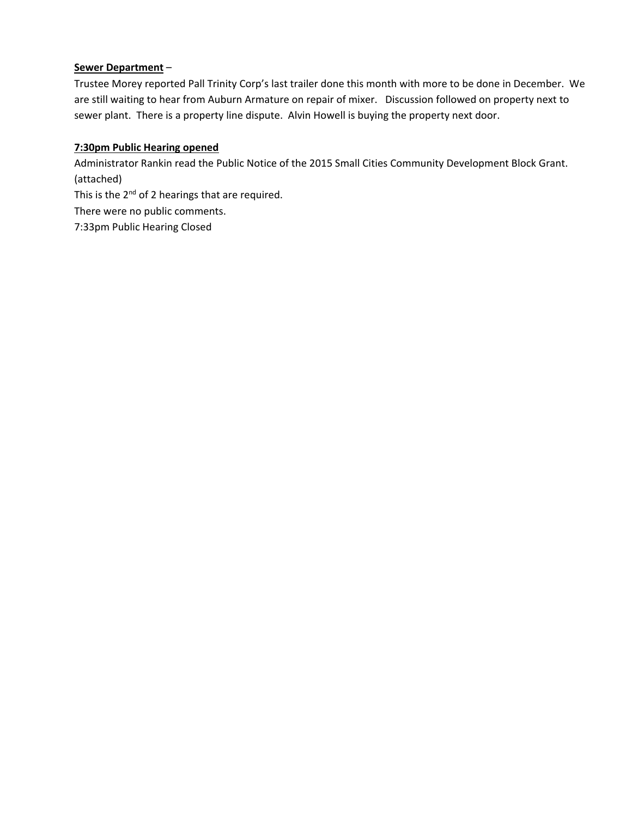## **Sewer Department** –

Trustee Morey reported Pall Trinity Corp's last trailer done this month with more to be done in December. We are still waiting to hear from Auburn Armature on repair of mixer. Discussion followed on property next to sewer plant. There is a property line dispute. Alvin Howell is buying the property next door.

## **7:30pm Public Hearing opened**

Administrator Rankin read the Public Notice of the 2015 Small Cities Community Development Block Grant. (attached)

This is the  $2^{nd}$  of 2 hearings that are required.

There were no public comments.

7:33pm Public Hearing Closed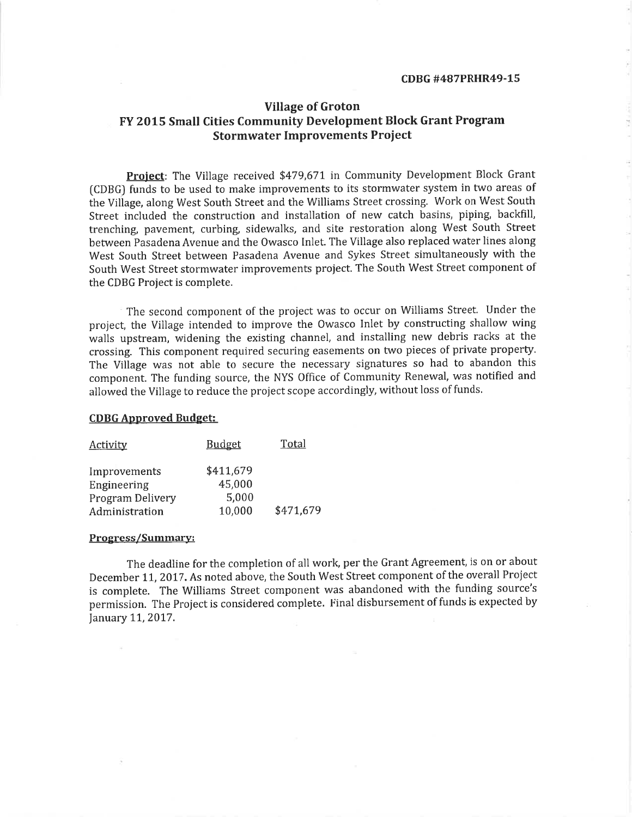## **Village of Groton** FY 2015 Small Cities Community Development Block Grant Program **Stormwater Improvements Project**

Project: The Village received \$479,671 in Community Development Block Grant (CDBG) funds to be used to make improvements to its stormwater system in two areas of the Village, along West South Street and the Williams Street crossing. Work on West South Street included the construction and installation of new catch basins, piping, backfill, trenching, pavement, curbing, sidewalks, and site restoration along West South Street between Pasadena Avenue and the Owasco Inlet. The Village also replaced water lines along West South Street between Pasadena Avenue and Sykes Street simultaneously with the South West Street stormwater improvements project. The South West Street component of the CDBG Project is complete.

The second component of the project was to occur on Williams Street. Under the project, the Village intended to improve the Owasco Inlet by constructing shallow wing walls upstream, widening the existing channel, and installing new debris racks at the crossing. This component required securing easements on two pieces of private property. The Village was not able to secure the necessary signatures so had to abandon this component. The funding source, the NYS Office of Community Renewal, was notified and allowed the Village to reduce the project scope accordingly, without loss of funds.

#### **CDBG Approved Budget:**

| <b>Activity</b>  | Budget    | Total     |
|------------------|-----------|-----------|
| Improvements     | \$411,679 |           |
| Engineering      | 45,000    |           |
| Program Delivery | 5,000     |           |
| Administration   | 10,000    | \$471,679 |

#### Progress/Summary:

The deadline for the completion of all work, per the Grant Agreement, is on or about December 11, 2017. As noted above, the South West Street component of the overall Project is complete. The Williams Street component was abandoned with the funding source's permission. The Project is considered complete. Final disbursement of funds is expected by January 11, 2017.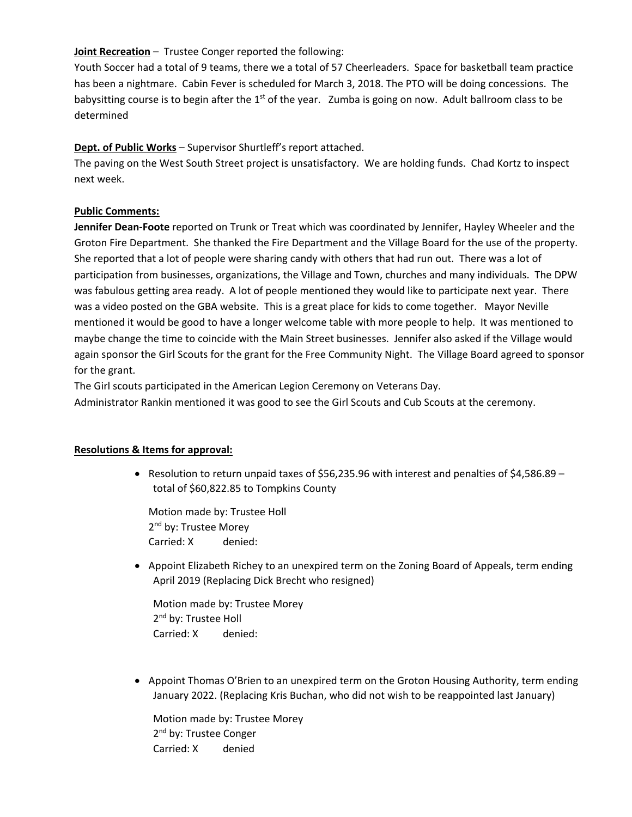### **Joint Recreation** – Trustee Conger reported the following:

Youth Soccer had a total of 9 teams, there we a total of 57 Cheerleaders. Space for basketball team practice has been a nightmare. Cabin Fever is scheduled for March 3, 2018. The PTO will be doing concessions. The babysitting course is to begin after the  $1<sup>st</sup>$  of the year. Zumba is going on now. Adult ballroom class to be determined

## **Dept. of Public Works** – Supervisor Shurtleff's report attached.

The paving on the West South Street project is unsatisfactory. We are holding funds. Chad Kortz to inspect next week.

## **Public Comments:**

**Jennifer Dean‐Foote** reported on Trunk or Treat which was coordinated by Jennifer, Hayley Wheeler and the Groton Fire Department. She thanked the Fire Department and the Village Board for the use of the property. She reported that a lot of people were sharing candy with others that had run out. There was a lot of participation from businesses, organizations, the Village and Town, churches and many individuals. The DPW was fabulous getting area ready. A lot of people mentioned they would like to participate next year. There was a video posted on the GBA website. This is a great place for kids to come together. Mayor Neville mentioned it would be good to have a longer welcome table with more people to help. It was mentioned to maybe change the time to coincide with the Main Street businesses. Jennifer also asked if the Village would again sponsor the Girl Scouts for the grant for the Free Community Night. The Village Board agreed to sponsor for the grant.

The Girl scouts participated in the American Legion Ceremony on Veterans Day.

Administrator Rankin mentioned it was good to see the Girl Scouts and Cub Scouts at the ceremony.

#### **Resolutions & Items for approval:**

• Resolution to return unpaid taxes of \$56,235.96 with interest and penalties of \$4,586.89 – total of \$60,822.85 to Tompkins County

Motion made by: Trustee Holl 2<sup>nd</sup> by: Trustee Morey Carried: X denied:

 Appoint Elizabeth Richey to an unexpired term on the Zoning Board of Appeals, term ending April 2019 (Replacing Dick Brecht who resigned)

Motion made by: Trustee Morey 2<sup>nd</sup> by: Trustee Holl Carried: X denied:

 Appoint Thomas O'Brien to an unexpired term on the Groton Housing Authority, term ending January 2022. (Replacing Kris Buchan, who did not wish to be reappointed last January)

Motion made by: Trustee Morey 2<sup>nd</sup> by: Trustee Conger Carried: X denied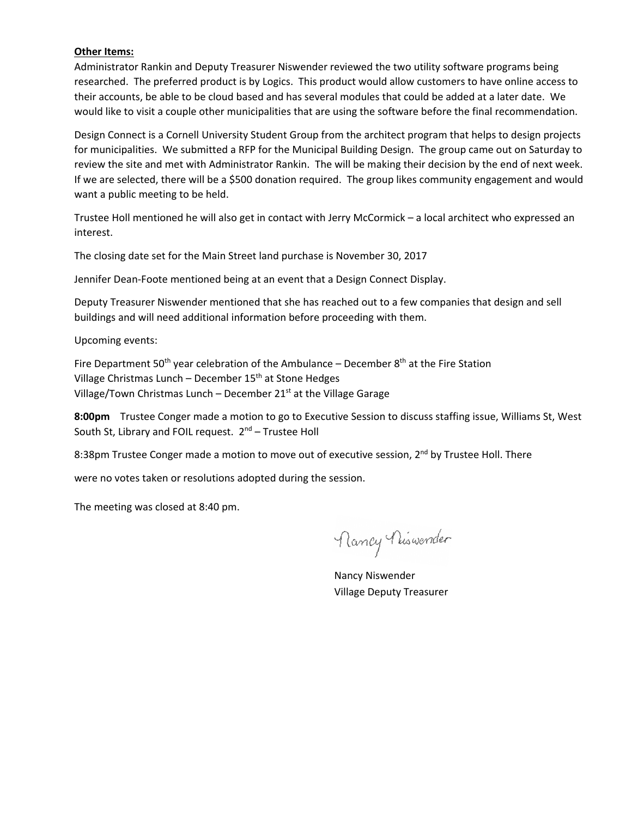#### **Other Items:**

Administrator Rankin and Deputy Treasurer Niswender reviewed the two utility software programs being researched. The preferred product is by Logics. This product would allow customers to have online access to their accounts, be able to be cloud based and has several modules that could be added at a later date. We would like to visit a couple other municipalities that are using the software before the final recommendation.

Design Connect is a Cornell University Student Group from the architect program that helps to design projects for municipalities. We submitted a RFP for the Municipal Building Design. The group came out on Saturday to review the site and met with Administrator Rankin. The will be making their decision by the end of next week. If we are selected, there will be a \$500 donation required. The group likes community engagement and would want a public meeting to be held.

Trustee Holl mentioned he will also get in contact with Jerry McCormick – a local architect who expressed an interest.

The closing date set for the Main Street land purchase is November 30, 2017

Jennifer Dean‐Foote mentioned being at an event that a Design Connect Display.

Deputy Treasurer Niswender mentioned that she has reached out to a few companies that design and sell buildings and will need additional information before proceeding with them.

Upcoming events:

Fire Department 50<sup>th</sup> year celebration of the Ambulance – December  $8<sup>th</sup>$  at the Fire Station Village Christmas Lunch – December  $15<sup>th</sup>$  at Stone Hedges Village/Town Christmas Lunch – December  $21<sup>st</sup>$  at the Village Garage

**8:00pm** Trustee Conger made a motion to go to Executive Session to discuss staffing issue, Williams St, West South St, Library and FOIL request.  $2^{nd}$  – Trustee Holl

8:38pm Trustee Conger made a motion to move out of executive session, 2<sup>nd</sup> by Trustee Holl. There

were no votes taken or resolutions adopted during the session.

The meeting was closed at 8:40 pm.

Nancy Nuswender

Nancy Niswender Village Deputy Treasurer